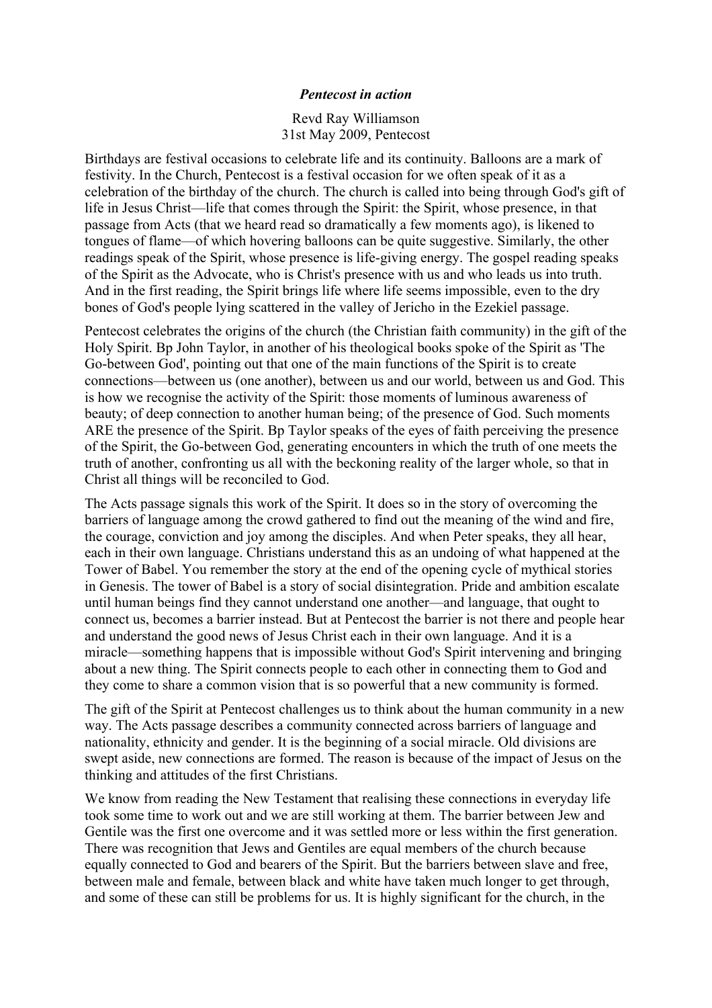## *Pentecost in action*

Revd Ray Williamson 31st May 2009, Pentecost

Birthdays are festival occasions to celebrate life and its continuity. Balloons are a mark of festivity. In the Church, Pentecost is a festival occasion for we often speak of it as a celebration of the birthday of the church. The church is called into being through God's gift of life in Jesus Christ—life that comes through the Spirit: the Spirit, whose presence, in that passage from Acts (that we heard read so dramatically a few moments ago), is likened to tongues of flame—of which hovering balloons can be quite suggestive. Similarly, the other readings speak of the Spirit, whose presence is life-giving energy. The gospel reading speaks of the Spirit as the Advocate, who is Christ's presence with us and who leads us into truth. And in the first reading, the Spirit brings life where life seems impossible, even to the dry bones of God's people lying scattered in the valley of Jericho in the Ezekiel passage.

Pentecost celebrates the origins of the church (the Christian faith community) in the gift of the Holy Spirit. Bp John Taylor, in another of his theological books spoke of the Spirit as 'The Go-between God', pointing out that one of the main functions of the Spirit is to create connections—between us (one another), between us and our world, between us and God. This is how we recognise the activity of the Spirit: those moments of luminous awareness of beauty; of deep connection to another human being; of the presence of God. Such moments ARE the presence of the Spirit. Bp Taylor speaks of the eyes of faith perceiving the presence of the Spirit, the Go-between God, generating encounters in which the truth of one meets the truth of another, confronting us all with the beckoning reality of the larger whole, so that in Christ all things will be reconciled to God.

The Acts passage signals this work of the Spirit. It does so in the story of overcoming the barriers of language among the crowd gathered to find out the meaning of the wind and fire, the courage, conviction and joy among the disciples. And when Peter speaks, they all hear, each in their own language. Christians understand this as an undoing of what happened at the Tower of Babel. You remember the story at the end of the opening cycle of mythical stories in Genesis. The tower of Babel is a story of social disintegration. Pride and ambition escalate until human beings find they cannot understand one another—and language, that ought to connect us, becomes a barrier instead. But at Pentecost the barrier is not there and people hear and understand the good news of Jesus Christ each in their own language. And it is a miracle—something happens that is impossible without God's Spirit intervening and bringing about a new thing. The Spirit connects people to each other in connecting them to God and they come to share a common vision that is so powerful that a new community is formed.

The gift of the Spirit at Pentecost challenges us to think about the human community in a new way. The Acts passage describes a community connected across barriers of language and nationality, ethnicity and gender. It is the beginning of a social miracle. Old divisions are swept aside, new connections are formed. The reason is because of the impact of Jesus on the thinking and attitudes of the first Christians.

We know from reading the New Testament that realising these connections in everyday life took some time to work out and we are still working at them. The barrier between Jew and Gentile was the first one overcome and it was settled more or less within the first generation. There was recognition that Jews and Gentiles are equal members of the church because equally connected to God and bearers of the Spirit. But the barriers between slave and free, between male and female, between black and white have taken much longer to get through, and some of these can still be problems for us. It is highly significant for the church, in the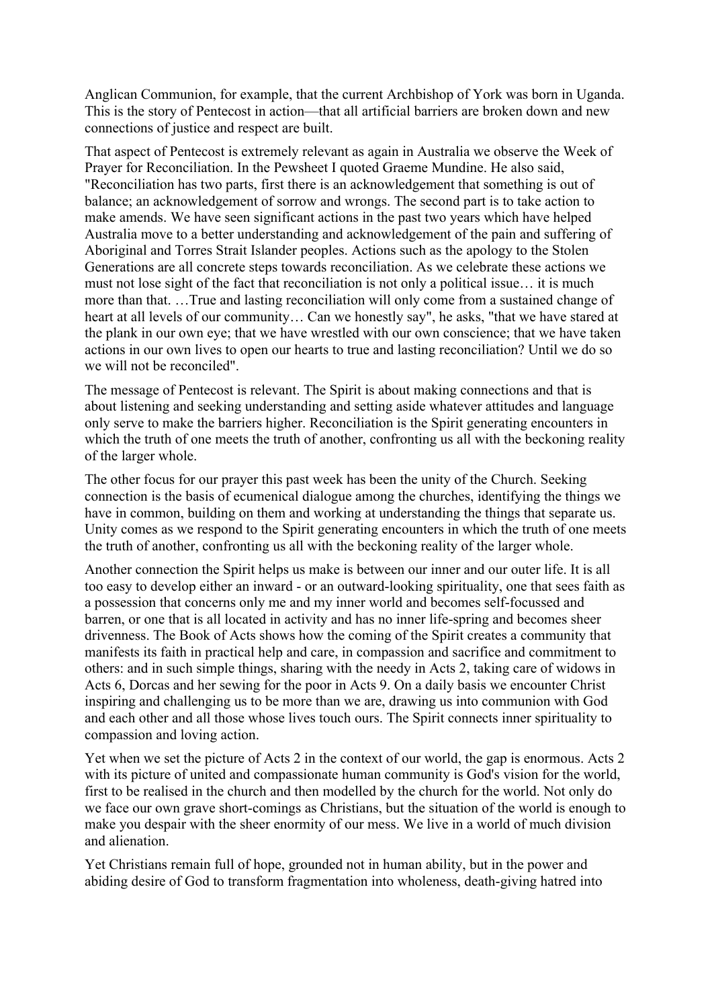Anglican Communion, for example, that the current Archbishop of York was born in Uganda. This is the story of Pentecost in action—that all artificial barriers are broken down and new connections of justice and respect are built.

That aspect of Pentecost is extremely relevant as again in Australia we observe the Week of Prayer for Reconciliation. In the Pewsheet I quoted Graeme Mundine. He also said, "Reconciliation has two parts, first there is an acknowledgement that something is out of balance; an acknowledgement of sorrow and wrongs. The second part is to take action to make amends. We have seen significant actions in the past two years which have helped Australia move to a better understanding and acknowledgement of the pain and suffering of Aboriginal and Torres Strait Islander peoples. Actions such as the apology to the Stolen Generations are all concrete steps towards reconciliation. As we celebrate these actions we must not lose sight of the fact that reconciliation is not only a political issue… it is much more than that. …True and lasting reconciliation will only come from a sustained change of heart at all levels of our community… Can we honestly say", he asks, "that we have stared at the plank in our own eye; that we have wrestled with our own conscience; that we have taken actions in our own lives to open our hearts to true and lasting reconciliation? Until we do so we will not be reconciled".

The message of Pentecost is relevant. The Spirit is about making connections and that is about listening and seeking understanding and setting aside whatever attitudes and language only serve to make the barriers higher. Reconciliation is the Spirit generating encounters in which the truth of one meets the truth of another, confronting us all with the beckoning reality of the larger whole.

The other focus for our prayer this past week has been the unity of the Church. Seeking connection is the basis of ecumenical dialogue among the churches, identifying the things we have in common, building on them and working at understanding the things that separate us. Unity comes as we respond to the Spirit generating encounters in which the truth of one meets the truth of another, confronting us all with the beckoning reality of the larger whole.

Another connection the Spirit helps us make is between our inner and our outer life. It is all too easy to develop either an inward - or an outward-looking spirituality, one that sees faith as a possession that concerns only me and my inner world and becomes self-focussed and barren, or one that is all located in activity and has no inner life-spring and becomes sheer drivenness. The Book of Acts shows how the coming of the Spirit creates a community that manifests its faith in practical help and care, in compassion and sacrifice and commitment to others: and in such simple things, sharing with the needy in Acts 2, taking care of widows in Acts 6, Dorcas and her sewing for the poor in Acts 9. On a daily basis we encounter Christ inspiring and challenging us to be more than we are, drawing us into communion with God and each other and all those whose lives touch ours. The Spirit connects inner spirituality to compassion and loving action.

Yet when we set the picture of Acts 2 in the context of our world, the gap is enormous. Acts 2 with its picture of united and compassionate human community is God's vision for the world, first to be realised in the church and then modelled by the church for the world. Not only do we face our own grave short-comings as Christians, but the situation of the world is enough to make you despair with the sheer enormity of our mess. We live in a world of much division and alienation.

Yet Christians remain full of hope, grounded not in human ability, but in the power and abiding desire of God to transform fragmentation into wholeness, death-giving hatred into